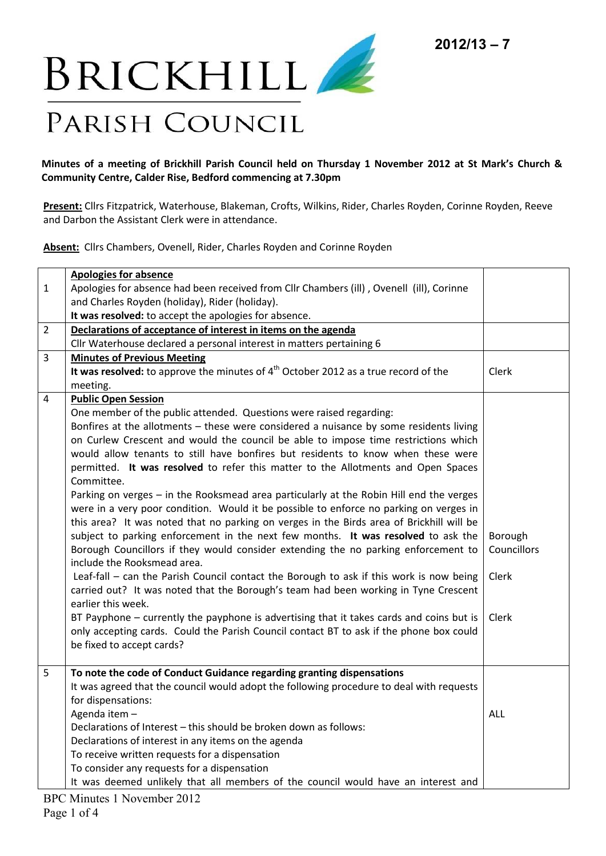

## **Minutes of a meeting of Brickhill Parish Council held on Thursday 1 November 2012 at St Mark's Church & Community Centre, Calder Rise, Bedford commencing at 7.30pm**

**Present:** Cllrs Fitzpatrick, Waterhouse, Blakeman, Crofts, Wilkins, Rider, Charles Royden, Corinne Royden, Reeve and Darbon the Assistant Clerk were in attendance.

**Absent:** Cllrs Chambers, Ovenell, Rider, Charles Royden and Corinne Royden

|                | <b>Apologies for absence</b>                                                             |             |
|----------------|------------------------------------------------------------------------------------------|-------------|
| $\mathbf{1}$   | Apologies for absence had been received from Cllr Chambers (ill), Ovenell (ill), Corinne |             |
|                | and Charles Royden (holiday), Rider (holiday).                                           |             |
|                | It was resolved: to accept the apologies for absence.                                    |             |
| $\overline{2}$ | Declarations of acceptance of interest in items on the agenda                            |             |
|                | Cllr Waterhouse declared a personal interest in matters pertaining 6                     |             |
| 3              | <b>Minutes of Previous Meeting</b>                                                       |             |
|                | It was resolved: to approve the minutes of $4th$ October 2012 as a true record of the    | Clerk       |
|                | meeting.                                                                                 |             |
| 4              | <b>Public Open Session</b>                                                               |             |
|                | One member of the public attended. Questions were raised regarding:                      |             |
|                | Bonfires at the allotments - these were considered a nuisance by some residents living   |             |
|                | on Curlew Crescent and would the council be able to impose time restrictions which       |             |
|                | would allow tenants to still have bonfires but residents to know when these were         |             |
|                | permitted. It was resolved to refer this matter to the Allotments and Open Spaces        |             |
|                | Committee.                                                                               |             |
|                | Parking on verges - in the Rooksmead area particularly at the Robin Hill end the verges  |             |
|                | were in a very poor condition. Would it be possible to enforce no parking on verges in   |             |
|                | this area? It was noted that no parking on verges in the Birds area of Brickhill will be |             |
|                | subject to parking enforcement in the next few months. It was resolved to ask the        | Borough     |
|                | Borough Councillors if they would consider extending the no parking enforcement to       | Councillors |
|                | include the Rooksmead area.                                                              |             |
|                | Leaf-fall - can the Parish Council contact the Borough to ask if this work is now being  | Clerk       |
|                | carried out? It was noted that the Borough's team had been working in Tyne Crescent      |             |
|                | earlier this week.                                                                       |             |
|                | BT Payphone - currently the payphone is advertising that it takes cards and coins but is | Clerk       |
|                | only accepting cards. Could the Parish Council contact BT to ask if the phone box could  |             |
|                | be fixed to accept cards?                                                                |             |
|                |                                                                                          |             |
| 5              | To note the code of Conduct Guidance regarding granting dispensations                    |             |
|                | It was agreed that the council would adopt the following procedure to deal with requests |             |
|                | for dispensations:                                                                       |             |
|                | Agenda item -                                                                            | <b>ALL</b>  |
|                | Declarations of Interest - this should be broken down as follows:                        |             |
|                | Declarations of interest in any items on the agenda                                      |             |
|                | To receive written requests for a dispensation                                           |             |
|                | To consider any requests for a dispensation                                              |             |
|                | It was deemed unlikely that all members of the council would have an interest and        |             |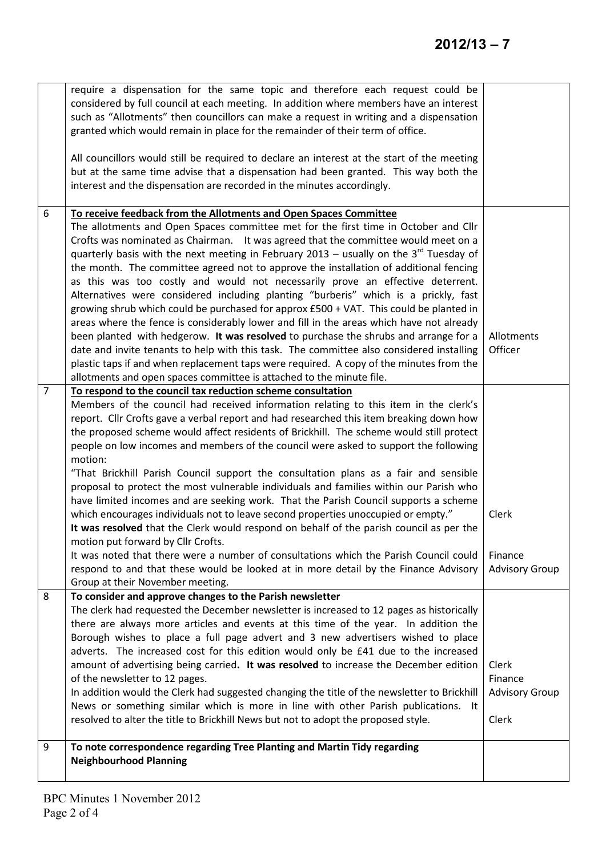|                | require a dispensation for the same topic and therefore each request could be<br>considered by full council at each meeting. In addition where members have an interest<br>such as "Allotments" then councillors can make a request in writing and a dispensation<br>granted which would remain in place for the remainder of their term of office.                                                                                                                                                                                                                                                                                                                                                                                                                                                                                                                                                                                                                                                                                                                                                                                                              |                                                    |
|----------------|------------------------------------------------------------------------------------------------------------------------------------------------------------------------------------------------------------------------------------------------------------------------------------------------------------------------------------------------------------------------------------------------------------------------------------------------------------------------------------------------------------------------------------------------------------------------------------------------------------------------------------------------------------------------------------------------------------------------------------------------------------------------------------------------------------------------------------------------------------------------------------------------------------------------------------------------------------------------------------------------------------------------------------------------------------------------------------------------------------------------------------------------------------------|----------------------------------------------------|
|                | All councillors would still be required to declare an interest at the start of the meeting<br>but at the same time advise that a dispensation had been granted. This way both the<br>interest and the dispensation are recorded in the minutes accordingly.                                                                                                                                                                                                                                                                                                                                                                                                                                                                                                                                                                                                                                                                                                                                                                                                                                                                                                      |                                                    |
| 6              | To receive feedback from the Allotments and Open Spaces Committee<br>The allotments and Open Spaces committee met for the first time in October and Cllr<br>Crofts was nominated as Chairman. It was agreed that the committee would meet on a<br>quarterly basis with the next meeting in February 2013 - usually on the $3rd$ Tuesday of<br>the month. The committee agreed not to approve the installation of additional fencing<br>as this was too costly and would not necessarily prove an effective deterrent.<br>Alternatives were considered including planting "burberis" which is a prickly, fast<br>growing shrub which could be purchased for approx £500 + VAT. This could be planted in<br>areas where the fence is considerably lower and fill in the areas which have not already<br>been planted with hedgerow. It was resolved to purchase the shrubs and arrange for a<br>date and invite tenants to help with this task. The committee also considered installing<br>plastic taps if and when replacement taps were required. A copy of the minutes from the<br>allotments and open spaces committee is attached to the minute file.        | Allotments<br>Officer                              |
| $\overline{7}$ | To respond to the council tax reduction scheme consultation<br>Members of the council had received information relating to this item in the clerk's<br>report. Cllr Crofts gave a verbal report and had researched this item breaking down how<br>the proposed scheme would affect residents of Brickhill. The scheme would still protect<br>people on low incomes and members of the council were asked to support the following<br>motion:<br>"That Brickhill Parish Council support the consultation plans as a fair and sensible<br>proposal to protect the most vulnerable individuals and families within our Parish who<br>have limited incomes and are seeking work. That the Parish Council supports a scheme<br>which encourages individuals not to leave second properties unoccupied or empty."<br>It was resolved that the Clerk would respond on behalf of the parish council as per the<br>motion put forward by Cllr Crofts.<br>It was noted that there were a number of consultations which the Parish Council could<br>respond to and that these would be looked at in more detail by the Finance Advisory<br>Group at their November meeting. | Clerk<br>Finance<br><b>Advisory Group</b>          |
| 8              | To consider and approve changes to the Parish newsletter<br>The clerk had requested the December newsletter is increased to 12 pages as historically<br>there are always more articles and events at this time of the year. In addition the<br>Borough wishes to place a full page advert and 3 new advertisers wished to place<br>adverts. The increased cost for this edition would only be £41 due to the increased<br>amount of advertising being carried. It was resolved to increase the December edition<br>of the newsletter to 12 pages.<br>In addition would the Clerk had suggested changing the title of the newsletter to Brickhill<br>News or something similar which is more in line with other Parish publications. It<br>resolved to alter the title to Brickhill News but not to adopt the proposed style.                                                                                                                                                                                                                                                                                                                                     | Clerk<br>Finance<br><b>Advisory Group</b><br>Clerk |
| 9              | To note correspondence regarding Tree Planting and Martin Tidy regarding<br><b>Neighbourhood Planning</b>                                                                                                                                                                                                                                                                                                                                                                                                                                                                                                                                                                                                                                                                                                                                                                                                                                                                                                                                                                                                                                                        |                                                    |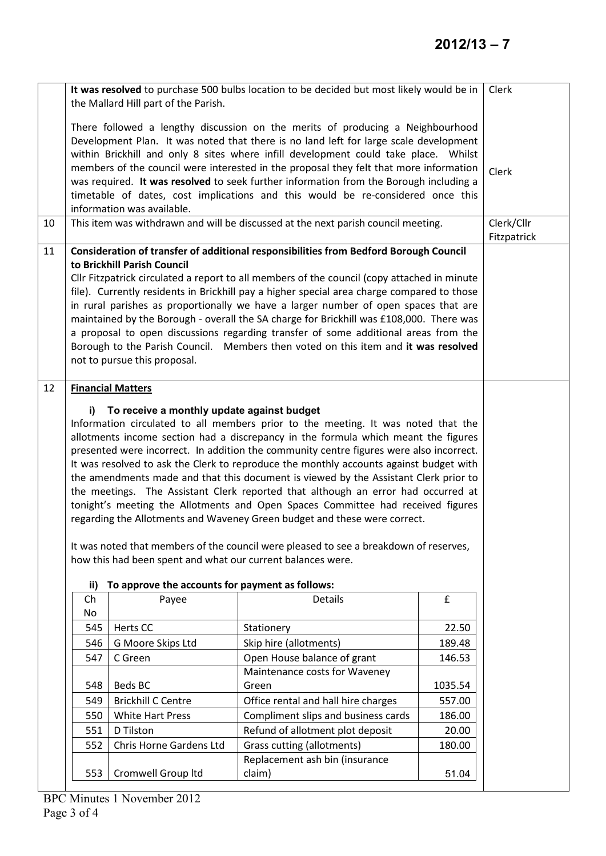|    | It was resolved to purchase 500 bulbs location to be decided but most likely would be in<br>the Mallard Hill part of the Parish.                                                                                                                                                                                                                                                                                                                                                                                                                                                                                                                                                                                                                                                                                                                                                                                                                  |                                                 |                                                                                   |                 | Clerk                     |  |
|----|---------------------------------------------------------------------------------------------------------------------------------------------------------------------------------------------------------------------------------------------------------------------------------------------------------------------------------------------------------------------------------------------------------------------------------------------------------------------------------------------------------------------------------------------------------------------------------------------------------------------------------------------------------------------------------------------------------------------------------------------------------------------------------------------------------------------------------------------------------------------------------------------------------------------------------------------------|-------------------------------------------------|-----------------------------------------------------------------------------------|-----------------|---------------------------|--|
|    | There followed a lengthy discussion on the merits of producing a Neighbourhood<br>Development Plan. It was noted that there is no land left for large scale development<br>within Brickhill and only 8 sites where infill development could take place. Whilst<br>members of the council were interested in the proposal they felt that more information<br>was required. It was resolved to seek further information from the Borough including a<br>timetable of dates, cost implications and this would be re-considered once this<br>information was available.                                                                                                                                                                                                                                                                                                                                                                               |                                                 |                                                                                   |                 | Clerk                     |  |
| 10 |                                                                                                                                                                                                                                                                                                                                                                                                                                                                                                                                                                                                                                                                                                                                                                                                                                                                                                                                                   |                                                 | This item was withdrawn and will be discussed at the next parish council meeting. |                 | Clerk/Cllr<br>Fitzpatrick |  |
| 11 | Consideration of transfer of additional responsibilities from Bedford Borough Council<br>to Brickhill Parish Council<br>Cllr Fitzpatrick circulated a report to all members of the council (copy attached in minute<br>file). Currently residents in Brickhill pay a higher special area charge compared to those<br>in rural parishes as proportionally we have a larger number of open spaces that are<br>maintained by the Borough - overall the SA charge for Brickhill was £108,000. There was<br>a proposal to open discussions regarding transfer of some additional areas from the<br>Borough to the Parish Council. Members then voted on this item and it was resolved<br>not to pursue this proposal.                                                                                                                                                                                                                                  |                                                 |                                                                                   |                 |                           |  |
| 12 | <b>Financial Matters</b><br>To receive a monthly update against budget<br>i)<br>Information circulated to all members prior to the meeting. It was noted that the<br>allotments income section had a discrepancy in the formula which meant the figures<br>presented were incorrect. In addition the community centre figures were also incorrect.<br>It was resolved to ask the Clerk to reproduce the monthly accounts against budget with<br>the amendments made and that this document is viewed by the Assistant Clerk prior to<br>the meetings. The Assistant Clerk reported that although an error had occurred at<br>tonight's meeting the Allotments and Open Spaces Committee had received figures<br>regarding the Allotments and Waveney Green budget and these were correct.<br>It was noted that members of the council were pleased to see a breakdown of reserves,<br>how this had been spent and what our current balances were. |                                                 |                                                                                   |                 |                           |  |
|    | ii)                                                                                                                                                                                                                                                                                                                                                                                                                                                                                                                                                                                                                                                                                                                                                                                                                                                                                                                                               | To approve the accounts for payment as follows: |                                                                                   |                 |                           |  |
|    | Ch<br>No                                                                                                                                                                                                                                                                                                                                                                                                                                                                                                                                                                                                                                                                                                                                                                                                                                                                                                                                          | Payee                                           | <b>Details</b>                                                                    | £               |                           |  |
|    | 545                                                                                                                                                                                                                                                                                                                                                                                                                                                                                                                                                                                                                                                                                                                                                                                                                                                                                                                                               | Herts CC                                        | Stationery                                                                        | 22.50           |                           |  |
|    | 546                                                                                                                                                                                                                                                                                                                                                                                                                                                                                                                                                                                                                                                                                                                                                                                                                                                                                                                                               | G Moore Skips Ltd                               | Skip hire (allotments)                                                            | 189.48          |                           |  |
|    | 547                                                                                                                                                                                                                                                                                                                                                                                                                                                                                                                                                                                                                                                                                                                                                                                                                                                                                                                                               | C Green                                         | Open House balance of grant                                                       | 146.53          |                           |  |
|    | 548                                                                                                                                                                                                                                                                                                                                                                                                                                                                                                                                                                                                                                                                                                                                                                                                                                                                                                                                               | Beds BC                                         | Maintenance costs for Waveney<br>Green                                            | 1035.54         |                           |  |
|    | 549                                                                                                                                                                                                                                                                                                                                                                                                                                                                                                                                                                                                                                                                                                                                                                                                                                                                                                                                               | <b>Brickhill C Centre</b>                       | Office rental and hall hire charges                                               | 557.00          |                           |  |
|    | 550                                                                                                                                                                                                                                                                                                                                                                                                                                                                                                                                                                                                                                                                                                                                                                                                                                                                                                                                               | White Hart Press                                | Compliment slips and business cards                                               | 186.00          |                           |  |
|    | 551                                                                                                                                                                                                                                                                                                                                                                                                                                                                                                                                                                                                                                                                                                                                                                                                                                                                                                                                               | D Tilston                                       | Refund of allotment plot deposit                                                  | 20.00           |                           |  |
|    | 552<br>553                                                                                                                                                                                                                                                                                                                                                                                                                                                                                                                                                                                                                                                                                                                                                                                                                                                                                                                                        | Chris Horne Gardens Ltd<br>Cromwell Group Itd   | Grass cutting (allotments)<br>Replacement ash bin (insurance<br>claim)            | 180.00<br>51.04 |                           |  |
|    |                                                                                                                                                                                                                                                                                                                                                                                                                                                                                                                                                                                                                                                                                                                                                                                                                                                                                                                                                   |                                                 |                                                                                   |                 |                           |  |